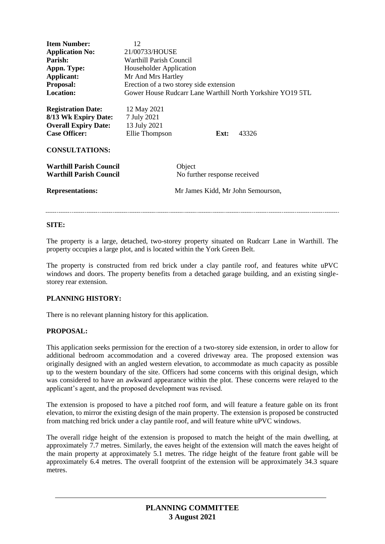| <b>Item Number:</b><br><b>Application No:</b><br>Parish:<br>Appn. Type:<br>Applicant:<br>Proposal:<br><b>Location:</b> | 12<br>21/00733/HOUSE<br>Warthill Parish Council<br>Householder Application<br>Mr And Mrs Hartley<br>Erection of a two storey side extension<br>Gower House Rudcarr Lane Warthill North Yorkshire YO19 5TL |  |      |       |
|------------------------------------------------------------------------------------------------------------------------|-----------------------------------------------------------------------------------------------------------------------------------------------------------------------------------------------------------|--|------|-------|
| <b>Registration Date:</b><br>8/13 Wk Expiry Date:<br><b>Overall Expiry Date:</b><br><b>Case Officer:</b>               | 12 May 2021<br>7 July 2021<br>13 July 2021<br>Ellie Thompson                                                                                                                                              |  | Ext: | 43326 |
| <b>CONSULTATIONS:</b>                                                                                                  |                                                                                                                                                                                                           |  |      |       |
| <b>Warthill Parish Council</b><br><b>Warthill Parish Council</b>                                                       | Object<br>No further response received                                                                                                                                                                    |  |      |       |
| <b>Representations:</b>                                                                                                | Mr James Kidd, Mr John Semourson,                                                                                                                                                                         |  |      |       |
|                                                                                                                        |                                                                                                                                                                                                           |  |      |       |

### **SITE:**

The property is a large, detached, two-storey property situated on Rudcarr Lane in Warthill. The property occupies a large plot, and is located within the York Green Belt.

The property is constructed from red brick under a clay pantile roof, and features white uPVC windows and doors. The property benefits from a detached garage building, and an existing singlestorey rear extension.

### **PLANNING HISTORY:**

There is no relevant planning history for this application.

### **PROPOSAL:**

This application seeks permission for the erection of a two-storey side extension, in order to allow for additional bedroom accommodation and a covered driveway area. The proposed extension was originally designed with an angled western elevation, to accommodate as much capacity as possible up to the western boundary of the site. Officers had some concerns with this original design, which was considered to have an awkward appearance within the plot. These concerns were relayed to the applicant's agent, and the proposed development was revised.

The extension is proposed to have a pitched roof form, and will feature a feature gable on its front elevation, to mirror the existing design of the main property. The extension is proposed be constructed from matching red brick under a clay pantile roof, and will feature white uPVC windows.

The overall ridge height of the extension is proposed to match the height of the main dwelling, at approximately 7.7 metres. Similarly, the eaves height of the extension will match the eaves height of the main property at approximately 5.1 metres. The ridge height of the feature front gable will be approximately 6.4 metres. The overall footprint of the extension will be approximately 34.3 square metres.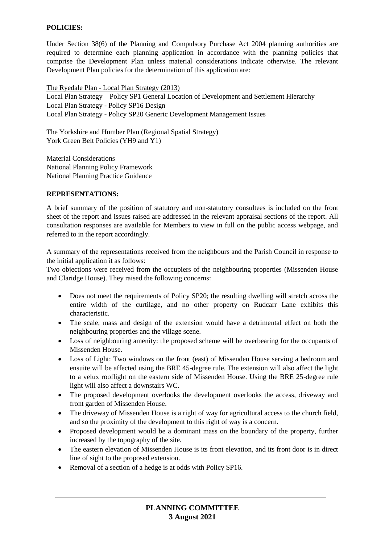# **POLICIES:**

Under Section 38(6) of the Planning and Compulsory Purchase Act 2004 planning authorities are required to determine each planning application in accordance with the planning policies that comprise the Development Plan unless material considerations indicate otherwise. The relevant Development Plan policies for the determination of this application are:

The Ryedale Plan - Local Plan Strategy (2013) Local Plan Strategy – Policy SP1 General Location of Development and Settlement Hierarchy Local Plan Strategy - Policy SP16 Design Local Plan Strategy - Policy SP20 Generic Development Management Issues

The Yorkshire and Humber Plan (Regional Spatial Strategy) York Green Belt Policies (YH9 and Y1)

Material Considerations National Planning Policy Framework National Planning Practice Guidance

# **REPRESENTATIONS:**

A brief summary of the position of statutory and non-statutory consultees is included on the front sheet of the report and issues raised are addressed in the relevant appraisal sections of the report. All consultation responses are available for Members to view in full on the public access webpage, and referred to in the report accordingly.

A summary of the representations received from the neighbours and the Parish Council in response to the initial application it as follows:

Two objections were received from the occupiers of the neighbouring properties (Missenden House and Claridge House). They raised the following concerns:

- Does not meet the requirements of Policy SP20; the resulting dwelling will stretch across the entire width of the curtilage, and no other property on Rudcarr Lane exhibits this characteristic.
- The scale, mass and design of the extension would have a detrimental effect on both the neighbouring properties and the village scene.
- Loss of neighbouring amenity: the proposed scheme will be overbearing for the occupants of Missenden House.
- Loss of Light: Two windows on the front (east) of Missenden House serving a bedroom and ensuite will be affected using the BRE 45-degree rule. The extension will also affect the light to a velux rooflight on the eastern side of Missenden House. Using the BRE 25-degree rule light will also affect a downstairs WC.
- The proposed development overlooks the development overlooks the access, driveway and front garden of Missenden House.
- The driveway of Missenden House is a right of way for agricultural access to the church field, and so the proximity of the development to this right of way is a concern.
- Proposed development would be a dominant mass on the boundary of the property, further increased by the topography of the site.
- The eastern elevation of Missenden House is its front elevation, and its front door is in direct line of sight to the proposed extension.
- Removal of a section of a hedge is at odds with Policy SP16.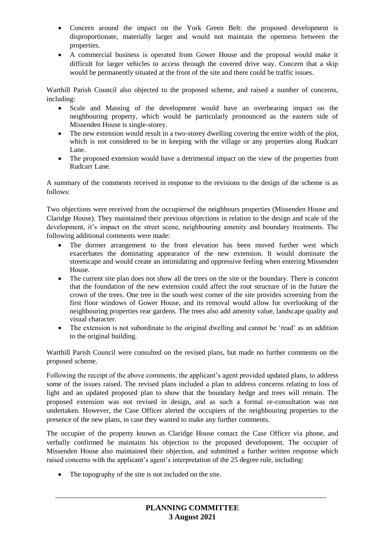- Concern around the impact on the York Green Belt: the proposed development is disproportionate, materially larger and would not maintain the openness between the properties.
- A commercial business is operated from Gower House and the proposal would make it difficult for larger vehicles to access through the covered drive way. Concern that a skip would be permanently situated at the front of the site and there could be traffic issues.

Warthill Parish Council also objected to the proposed scheme, and raised a number of concerns, including:

- Scale and Massing of the development would have an overbearing impact on the neighbouring property, which would be particularly pronounced as the eastern side of Missenden House is single-storey.
- The new extension would result in a two-storey dwelling covering the entire width of the plot, which is not considered to be in keeping with the village or any properties along Rudcarr Lane.
- The proposed extension would have a detrimental impact on the view of the properties from Rudcarr Lane.

A summary of the comments received in response to the revisions to the design of the scheme is as follows:

Two objections were received from the occupiersof the neighbours properties (Missenden House and Claridge House). They maintained their previous objections in relation to the design and scale of the development, it's impact on the street scene, neighbouring amenity and boundary treatments. The following additional comments were made:

- The dormer arrangement to the front elevation has been moved further west which exacerbates the dominating appearance of the new extension. It would dominate the streetscape and would create an intimidating and oppressive feeling when entering Missenden House.
- The current site plan does not show all the trees on the site or the boundary. There is concern that the foundation of the new extension could affect the root structure of in the future the crown of the trees. One tree in the south west corner of the site provides screening from the first floor windows of Gower House, and its removal would allow for overlooking of the neighbouring properties rear gardens. The trees also add amenity value, landscape quality and visual character.
- The extension is not subordinate to the original dwelling and cannot be 'read' as an addition to the original building.

Warthill Parish Council were consulted on the revised plans, but made no further comments on the proposed scheme.

Following the receipt of the above comments, the applicant's agent provided updated plans, to address some of the issues raised. The revised plans included a plan to address concerns relating to loss of light and an updated proposed plan to show that the boundary hedge and trees will remain. The proposed extension was not revised in design, and as such a formal re-consultation was not undertaken. However, the Case Officer alerted the occupiers of the neighbouring properties to the presence of the new plans, in case they wanted to make any further comments.

The occupier of the property known as Claridge House contact the Case Officer via phone, and verbally confirmed he maintains his objection to the proposed development. The occupier of Missenden House also maintained their objection, and submitted a further written response which raised concerns with the applicant's agent's interpretation of the 25 degree rule, including:

• The topography of the site is not included on the site.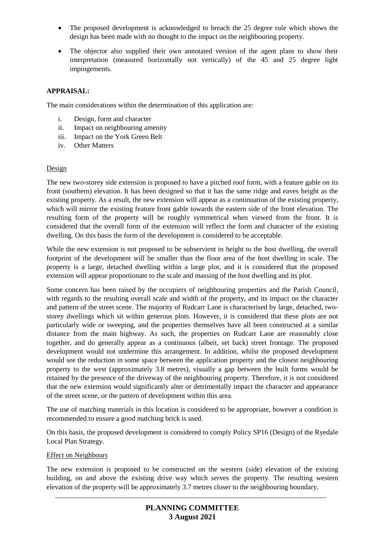- The proposed development is acknowledged to breach the 25 degree rule which shows the design has been made with no thought to the impact on the neighbouring property.
- The objector also supplied their own annotated version of the agent plans to show their interpretation (measured horizontally not vertically) of the 45 and 25 degree light impingements.

# **APPRAISAL:**

The main considerations within the determination of this application are:

- i. Design, form and character
- ii. Impact on neighbouring amenity
- iii. Impact on the York Green Belt
- iv. Other Matters

## Design

The new two-storey side extension is proposed to have a pitched roof form, with a feature gable on its front (southern) elevation. It has been designed so that it has the same ridge and eaves height as the existing property. As a result, the new extension will appear as a continuation of the existing property, which will mirror the existing feature front gable towards the eastern side of the front elevation. The resulting form of the property will be roughly symmetrical when viewed from the front. It is considered that the overall form of the extension will reflect the form and character of the existing dwelling. On this basis the form of the development is considered to be acceptable.

While the new extension is not proposed to be subservient in height to the host dwelling, the overall footprint of the development will be smaller than the floor area of the host dwelling in scale. The property is a large, detached dwelling within a large plot, and it is considered that the proposed extension will appear proportionate to the scale and massing of the host dwelling and its plot.

Some concern has been raised by the occupiers of neighbouring properties and the Parish Council, with regards to the resulting overall scale and width of the property, and its impact on the character and pattern of the street scene. The majority of Rudcarr Lane is characterised by large, detached, twostorey dwellings which sit within generous plots. However, it is considered that these plots are not particularly wide or sweeping, and the properties themselves have all been constructed at a similar distance from the main highway. As such, the properties on Rudcarr Lane are reasonably close together, and do generally appear as a continuous (albeit, set back) street frontage. The proposed development would not undermine this arrangement. In addition, whilst the proposed development would see the reduction in some space between the application property and the closest neighbouring property to the west (approximately 3.8 metres), visually a gap between the built forms would be retained by the presence of the driveway of the neighbouring property. Therefore, it is not considered that the new extension would significantly alter or detrimentally impact the character and appearance of the street scene, or the pattern of development within this area.

The use of matching materials in this location is considered to be appropriate, however a condition is recommended to ensure a good matching brick is used.

On this basis, the proposed development is considered to comply Policy SP16 (Design) of the Ryedale Local Plan Strategy.

### Effect on Neighbours

The new extension is proposed to be constructed on the western (side) elevation of the existing building, on and above the existing drive way which serves the property. The resulting western elevation of the property will be approximately 3.7 metres closer to the neighbouring boundary.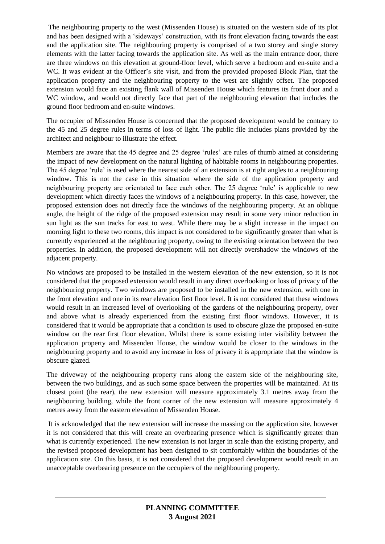The neighbouring property to the west (Missenden House) is situated on the western side of its plot and has been designed with a 'sideways' construction, with its front elevation facing towards the east and the application site. The neighbouring property is comprised of a two storey and single storey elements with the latter facing towards the application site. As well as the main entrance door, there are three windows on this elevation at ground-floor level, which serve a bedroom and en-suite and a WC. It was evident at the Officer's site visit, and from the provided proposed Block Plan, that the application property and the neighbouring property to the west are slightly offset. The proposed extension would face an existing flank wall of Missenden House which features its front door and a WC window, and would not directly face that part of the neighbouring elevation that includes the ground floor bedroom and en-suite windows.

The occupier of Missenden House is concerned that the proposed development would be contrary to the 45 and 25 degree rules in terms of loss of light. The public file includes plans provided by the architect and neighbour to illustrate the effect.

Members are aware that the 45 degree and 25 degree 'rules' are rules of thumb aimed at considering the impact of new development on the natural lighting of habitable rooms in neighbouring properties. The 45 degree 'rule' is used where the nearest side of an extension is at right angles to a neighbouring window. This is not the case in this situation where the side of the application property and neighbouring property are orientated to face each other. The 25 degree 'rule' is applicable to new development which directly faces the windows of a neighbouring property. In this case, however, the proposed extension does not directly face the windows of the neighbouring property. At an oblique angle, the height of the ridge of the proposed extension may result in some very minor reduction in sun light as the sun tracks for east to west. While there may be a slight increase in the impact on morning light to these two rooms, this impact is not considered to be significantly greater than what is currently experienced at the neighbouring property, owing to the existing orientation between the two properties. In addition, the proposed development will not directly overshadow the windows of the adjacent property.

No windows are proposed to be installed in the western elevation of the new extension, so it is not considered that the proposed extension would result in any direct overlooking or loss of privacy of the neighbouring property. Two windows are proposed to be installed in the new extension, with one in the front elevation and one in its rear elevation first floor level. It is not considered that these windows would result in an increased level of overlooking of the gardens of the neighbouring property, over and above what is already experienced from the existing first floor windows. However, it is considered that it would be appropriate that a condition is used to obscure glaze the proposed en-suite window on the rear first floor elevation. Whilst there is some existing inter visibility between the application property and Missenden House, the window would be closer to the windows in the neighbouring property and to avoid any increase in loss of privacy it is appropriate that the window is obscure glazed.

The driveway of the neighbouring property runs along the eastern side of the neighbouring site, between the two buildings, and as such some space between the properties will be maintained. At its closest point (the rear), the new extension will measure approximately 3.1 metres away from the neighbouring building, while the front corner of the new extension will measure approximately 4 metres away from the eastern elevation of Missenden House.

It is acknowledged that the new extension will increase the massing on the application site, however it is not considered that this will create an overbearing presence which is significantly greater than what is currently experienced. The new extension is not larger in scale than the existing property, and the revised proposed development has been designed to sit comfortably within the boundaries of the application site. On this basis, it is not considered that the proposed development would result in an unacceptable overbearing presence on the occupiers of the neighbouring property.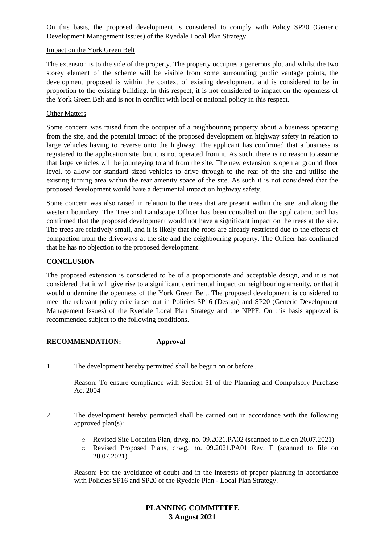On this basis, the proposed development is considered to comply with Policy SP20 (Generic Development Management Issues) of the Ryedale Local Plan Strategy.

## Impact on the York Green Belt

The extension is to the side of the property. The property occupies a generous plot and whilst the two storey element of the scheme will be visible from some surrounding public vantage points, the development proposed is within the context of existing development, and is considered to be in proportion to the existing building. In this respect, it is not considered to impact on the openness of the York Green Belt and is not in conflict with local or national policy in this respect.

## Other Matters

Some concern was raised from the occupier of a neighbouring property about a business operating from the site, and the potential impact of the proposed development on highway safety in relation to large vehicles having to reverse onto the highway. The applicant has confirmed that a business is registered to the application site, but it is not operated from it. As such, there is no reason to assume that large vehicles will be journeying to and from the site. The new extension is open at ground floor level, to allow for standard sized vehicles to drive through to the rear of the site and utilise the existing turning area within the rear amenity space of the site. As such it is not considered that the proposed development would have a detrimental impact on highway safety.

Some concern was also raised in relation to the trees that are present within the site, and along the western boundary. The Tree and Landscape Officer has been consulted on the application, and has confirmed that the proposed development would not have a significant impact on the trees at the site. The trees are relatively small, and it is likely that the roots are already restricted due to the effects of compaction from the driveways at the site and the neighbouring property. The Officer has confirmed that he has no objection to the proposed development.

# **CONCLUSION**

The proposed extension is considered to be of a proportionate and acceptable design, and it is not considered that it will give rise to a significant detrimental impact on neighbouring amenity, or that it would undermine the openness of the York Green Belt. The proposed development is considered to meet the relevant policy criteria set out in Policies SP16 (Design) and SP20 (Generic Development Management Issues) of the Ryedale Local Plan Strategy and the NPPF. On this basis approval is recommended subject to the following conditions.

# **RECOMMENDATION: Approval**

1 The development hereby permitted shall be begun on or before .

Reason: To ensure compliance with Section 51 of the Planning and Compulsory Purchase Act 2004

- 2 The development hereby permitted shall be carried out in accordance with the following approved plan(s):
	- o Revised Site Location Plan, drwg. no. 09.2021.PA02 (scanned to file on 20.07.2021)
	- o Revised Proposed Plans, drwg. no. 09.2021.PA01 Rev. E (scanned to file on 20.07.2021)

Reason: For the avoidance of doubt and in the interests of proper planning in accordance with Policies SP16 and SP20 of the Ryedale Plan - Local Plan Strategy.